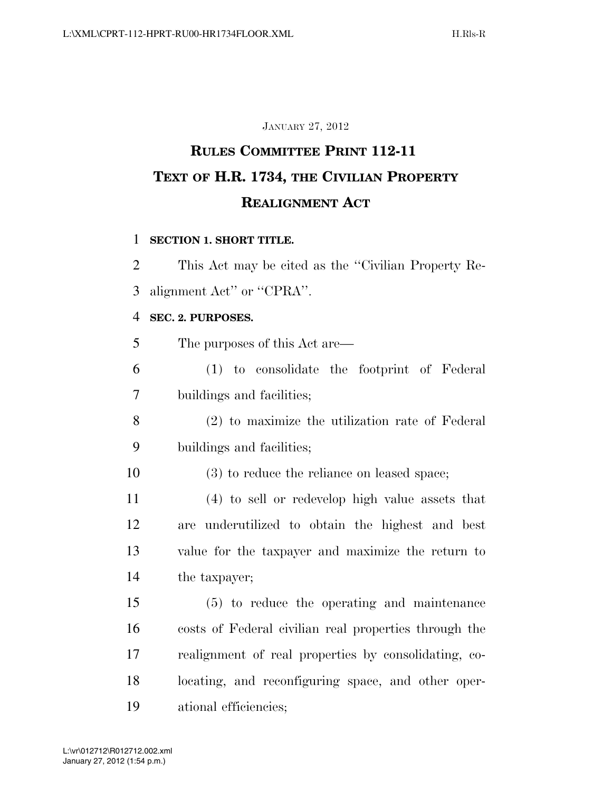#### JANUARY 27, 2012

# **RULES COMMITTEE PRINT 112-11 TEXT OF H.R. 1734, THE CIVILIAN PROPERTY REALIGNMENT ACT**

#### **SECTION 1. SHORT TITLE.**

 This Act may be cited as the ''Civilian Property Re-alignment Act'' or ''CPRA''.

#### **SEC. 2. PURPOSES.**

| 5  | The purposes of this Act are—                         |
|----|-------------------------------------------------------|
| 6  | (1) to consolidate the footprint of Federal           |
| 7  | buildings and facilities;                             |
| 8  | (2) to maximize the utilization rate of Federal       |
| 9  | buildings and facilities;                             |
| 10 | (3) to reduce the reliance on leased space;           |
| 11 | (4) to sell or redevelop high value assets that       |
| 12 | are underutilized to obtain the highest and best      |
| 13 | value for the taxpayer and maximize the return to     |
| 14 | the taxpayer;                                         |
| 15 | (5) to reduce the operating and maintenance           |
| 16 | costs of Federal civilian real properties through the |
| 17 | realignment of real properties by consolidating, co-  |
| 18 | locating, and reconfiguring space, and other oper-    |
| 19 | ational efficiencies;                                 |

January 27, 2012 (1:54 p.m.) L:\vr\012712\R012712.002.xml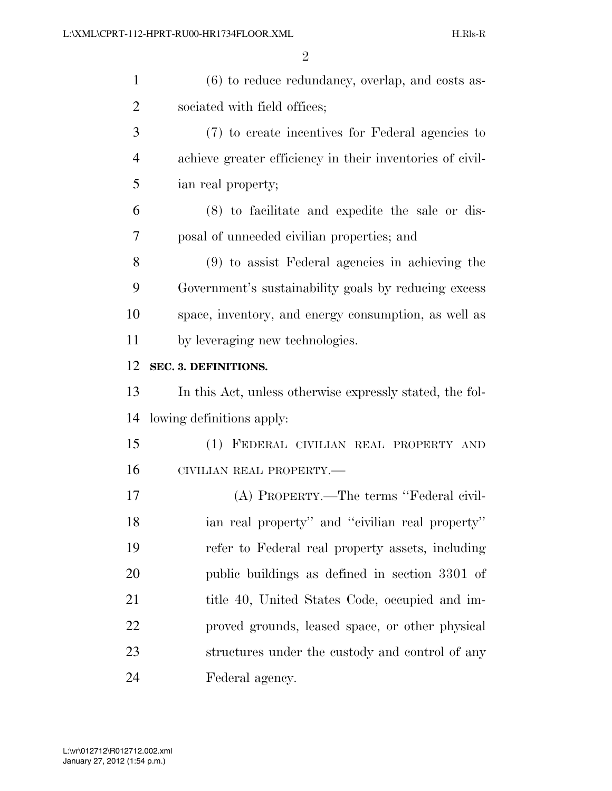| $\mathbf{1}$   | $(6)$ to reduce redundancy, overlap, and costs as-        |
|----------------|-----------------------------------------------------------|
| $\overline{2}$ | sociated with field offices;                              |
| 3              | (7) to create incentives for Federal agencies to          |
| $\overline{4}$ | achieve greater efficiency in their inventories of civil- |
| 5              | ian real property;                                        |
| 6              | (8) to facilitate and expedite the sale or dis-           |
| 7              | posal of unneeded civilian properties; and                |
| 8              | (9) to assist Federal agencies in achieving the           |
| 9              | Government's sustainability goals by reducing excess      |
| 10             | space, inventory, and energy consumption, as well as      |
| 11             | by leveraging new technologies.                           |
| 12             | SEC. 3. DEFINITIONS.                                      |
| 13             | In this Act, unless otherwise expressly stated, the fol-  |
| 14             | lowing definitions apply:                                 |
| 15             | (1) FEDERAL CIVILIAN REAL PROPERTY AND                    |
| 16             | CIVILIAN REAL PROPERTY.-                                  |
| 17             | (A) PROPERTY.—The terms "Federal civil-                   |
| 18             | ian real property" and "civilian real property"           |
| 19             | refer to Federal real property assets, including          |
| 20             | public buildings as defined in section 3301 of            |
| 21             | title 40, United States Code, occupied and im-            |
| 22             | proved grounds, leased space, or other physical           |
| 23             |                                                           |
|                | structures under the custody and control of any           |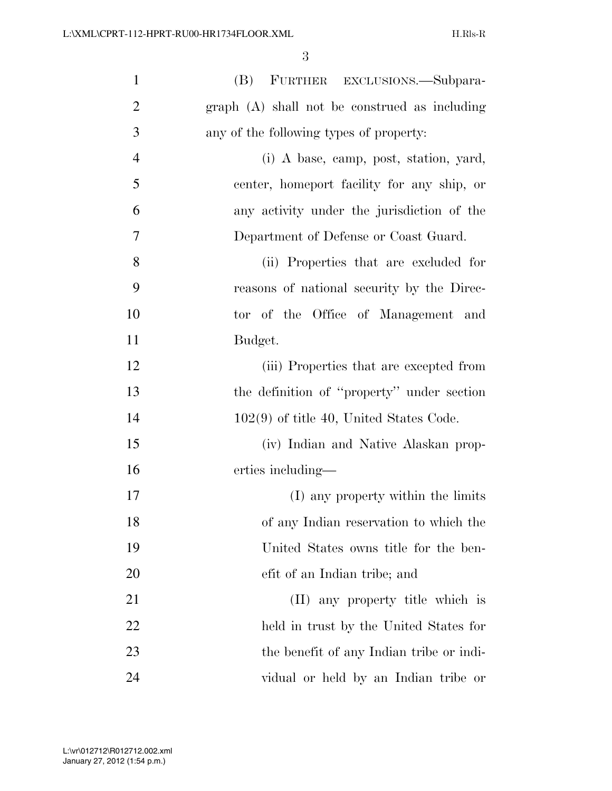| $\mathbf{1}$   | (B) FURTHER EXCLUSIONS.—Subpara-              |
|----------------|-----------------------------------------------|
| $\overline{2}$ | graph (A) shall not be construed as including |
| 3              | any of the following types of property:       |
| $\overline{4}$ | (i) A base, camp, post, station, yard,        |
| 5              | center, homeport facility for any ship, or    |
| 6              | any activity under the jurisdiction of the    |
| $\overline{7}$ | Department of Defense or Coast Guard.         |
| 8              | (ii) Properties that are excluded for         |
| 9              | reasons of national security by the Direc-    |
| 10             | tor of the Office of Management and           |
| 11             | Budget.                                       |
| 12             | (iii) Properties that are excepted from       |
| 13             | the definition of "property" under section    |
| 14             | $102(9)$ of title 40, United States Code.     |
| 15             | (iv) Indian and Native Alaskan prop-          |
| 16             | erties including—                             |
| 17             | (I) any property within the limits            |
| 18             | of any Indian reservation to which the        |
| 19             | United States owns title for the ben-         |
| <b>20</b>      | efit of an Indian tribe; and                  |
| 21             | (II) any property title which is              |
| 22             | held in trust by the United States for        |
| 23             | the benefit of any Indian tribe or indi-      |
| 24             | vidual or held by an Indian tribe or          |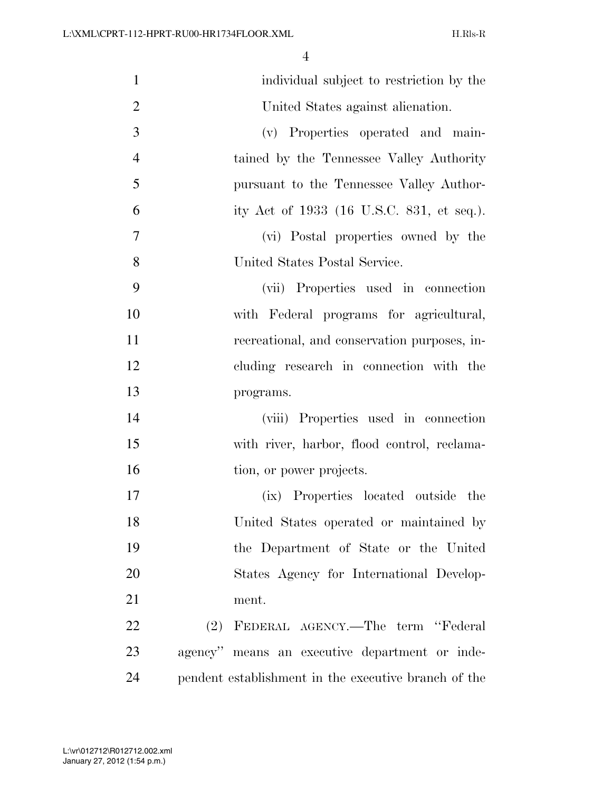| $\mathbf{1}$   | individual subject to restriction by the             |
|----------------|------------------------------------------------------|
| $\overline{2}$ | United States against alienation.                    |
| 3              | (v) Properties operated and main-                    |
| $\overline{4}$ | tained by the Tennessee Valley Authority             |
| 5              | pursuant to the Tennessee Valley Author-             |
| 6              | ity Act of 1933 (16 U.S.C. 831, et seq.).            |
| $\overline{7}$ | (vi) Postal properties owned by the                  |
| 8              | United States Postal Service.                        |
| 9              | (vii) Properties used in connection                  |
| 10             | with Federal programs for agricultural,              |
| 11             | recreational, and conservation purposes, in-         |
| 12             | cluding research in connection with the              |
| 13             | programs.                                            |
| 14             | (viii) Properties used in connection                 |
| 15             | with river, harbor, flood control, reclama-          |
| 16             | tion, or power projects.                             |
| 17             | (ix) Properties located outside the                  |
| 18             | United States operated or maintained by              |
| 19             | the Department of State or the United                |
| 20             | States Agency for International Develop-             |
| 21             | ment.                                                |
| 22             | (2) FEDERAL AGENCY.—The term "Federal                |
| 23             | agency" means an executive department or inde-       |
| 24             | pendent establishment in the executive branch of the |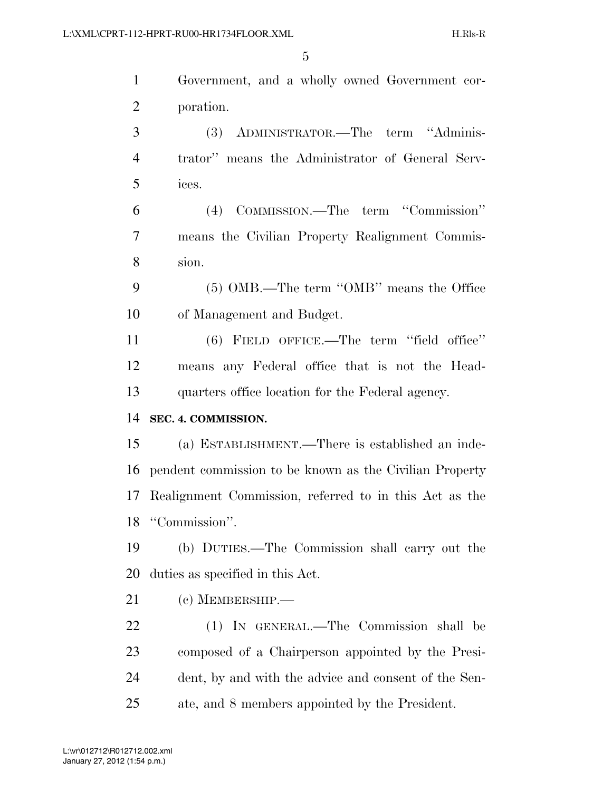| $\mathbf{1}$   | Government, and a wholly owned Government cor-          |
|----------------|---------------------------------------------------------|
| $\overline{2}$ | poration.                                               |
| 3              | (3) ADMINISTRATOR.—The term "Adminis-                   |
| $\overline{4}$ | trator" means the Administrator of General Serv-        |
| 5              | ices.                                                   |
| 6              | (4) COMMISSION.—The term "Commission"                   |
| 7              | means the Civilian Property Realignment Commis-         |
| $8\,$          | sion.                                                   |
| 9              | (5) OMB.—The term "OMB" means the Office                |
| 10             | of Management and Budget.                               |
| 11             | $(6)$ FIELD OFFICE.—The term "field office"             |
| 12             | means any Federal office that is not the Head-          |
|                |                                                         |
| 13             | quarters office location for the Federal agency.        |
| 14             | SEC. 4. COMMISSION.                                     |
|                | (a) ESTABLISHMENT.—There is established an inde-        |
| 15<br>16       | pendent commission to be known as the Civilian Property |
| 17             | Realignment Commission, referred to in this Act as the  |
|                | "Commission".                                           |
| 18<br>19       | (b) DUTIES.—The Commission shall carry out the          |
| 20             | duties as specified in this Act.                        |
| 21             | $(c)$ MEMBERSHIP.—                                      |
| 22             | (1) IN GENERAL.—The Commission shall be                 |
| 23             | composed of a Chairperson appointed by the Presi-       |
| 24             | dent, by and with the advice and consent of the Sen-    |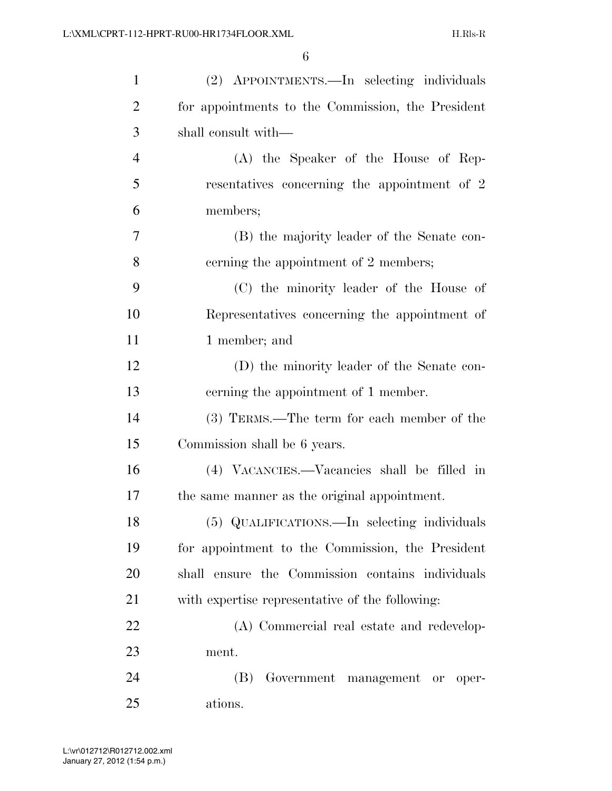| $\mathbf{1}$   | (2) APPOINTMENTS.—In selecting individuals        |
|----------------|---------------------------------------------------|
| $\overline{2}$ | for appointments to the Commission, the President |
| 3              | shall consult with—                               |
| $\overline{4}$ | $(A)$ the Speaker of the House of Rep-            |
| 5              | resentatives concerning the appointment of 2      |
| 6              | members;                                          |
| 7              | (B) the majority leader of the Senate con-        |
| 8              | cerning the appointment of 2 members;             |
| 9              | (C) the minority leader of the House of           |
| 10             | Representatives concerning the appointment of     |
| 11             | 1 member; and                                     |
| 12             | (D) the minority leader of the Senate con-        |
| 13             | cerning the appointment of 1 member.              |
| 14             | (3) TERMS.—The term for each member of the        |
| 15             | Commission shall be 6 years.                      |
| 16             | (4) VACANCIES.—Vacancies shall be filled in       |
| 17             | the same manner as the original appointment.      |
| 18             | (5) QUALIFICATIONS.—In selecting individuals      |
| 19             | for appointment to the Commission, the President  |
| <b>20</b>      | shall ensure the Commission contains individuals  |
| 21             | with expertise representative of the following:   |
| 22             | (A) Commercial real estate and redevelop-         |
| 23             | ment.                                             |
| 24             | (B)<br>Government management or oper-             |
| 25             | ations.                                           |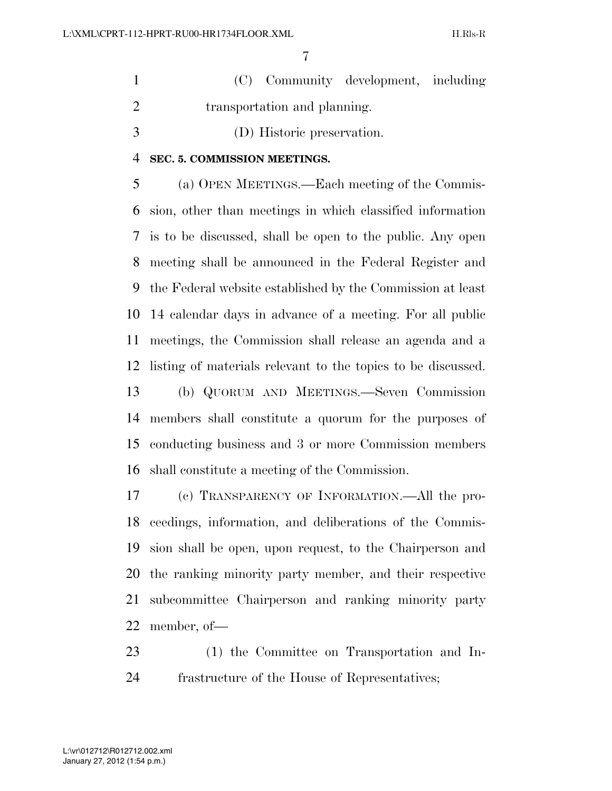- (C) Community development, including transportation and planning.
- (D) Historic preservation.

#### **SEC. 5. COMMISSION MEETINGS.**

 (a) OPEN MEETINGS.—Each meeting of the Commis- sion, other than meetings in which classified information is to be discussed, shall be open to the public. Any open meeting shall be announced in the Federal Register and the Federal website established by the Commission at least 14 calendar days in advance of a meeting. For all public meetings, the Commission shall release an agenda and a listing of materials relevant to the topics to be discussed. (b) QUORUM AND MEETINGS.—Seven Commission members shall constitute a quorum for the purposes of conducting business and 3 or more Commission members

shall constitute a meeting of the Commission.

 (c) TRANSPARENCY OF INFORMATION.—All the pro- ceedings, information, and deliberations of the Commis- sion shall be open, upon request, to the Chairperson and the ranking minority party member, and their respective subcommittee Chairperson and ranking minority party member, of—

 (1) the Committee on Transportation and In-frastructure of the House of Representatives;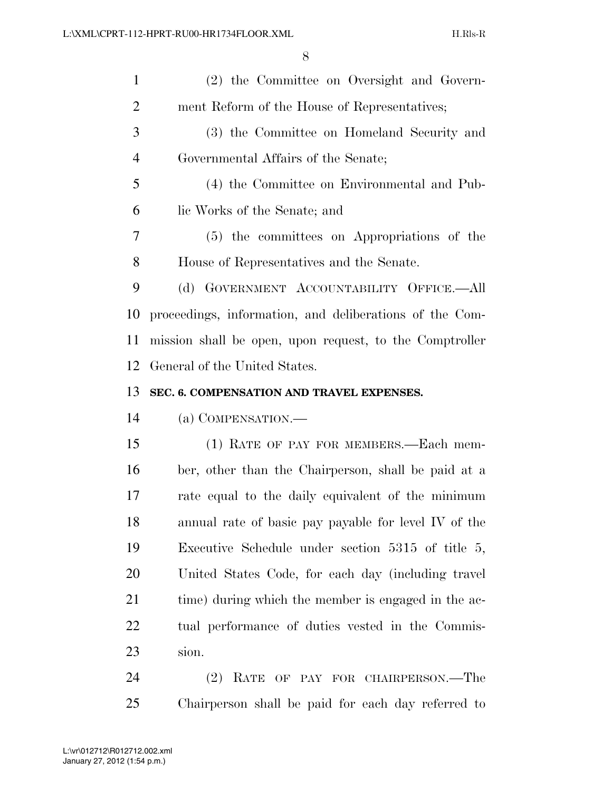| $\mathbf{1}$   | (2) the Committee on Oversight and Govern-              |
|----------------|---------------------------------------------------------|
| $\overline{2}$ | ment Reform of the House of Representatives;            |
| 3              | (3) the Committee on Homeland Security and              |
| $\overline{4}$ | Governmental Affairs of the Senate;                     |
| 5              | (4) the Committee on Environmental and Pub-             |
| 6              | lic Works of the Senate; and                            |
| 7              | (5) the committees on Appropriations of the             |
| 8              | House of Representatives and the Senate.                |
| 9              | GOVERNMENT ACCOUNTABILITY OFFICE.—All<br>(d)            |
| 10             | proceedings, information, and deliberations of the Com- |
| 11             | mission shall be open, upon request, to the Comptroller |
| 12             | General of the United States.                           |
| 13             | SEC. 6. COMPENSATION AND TRAVEL EXPENSES.               |
| 14             | (a) COMPENSATION.—                                      |
| 15             | (1) RATE OF PAY FOR MEMBERS.—Each mem-                  |
| 16             | ber, other than the Chairperson, shall be paid at a     |
|                |                                                         |
| 17             | rate equal to the daily equivalent of the minimum       |
| 18             | annual rate of basic pay payable for level IV of the    |
| 19             | Executive Schedule under section $5315$ of title 5,     |
| 20             | United States Code, for each day (including travel)     |
| 21             | time) during which the member is engaged in the ac-     |
| 22             | tual performance of duties vested in the Commis-        |
| 23             | sion.                                                   |
| 24             | (2)<br>RATE OF PAY FOR CHAIRPERSON.—The                 |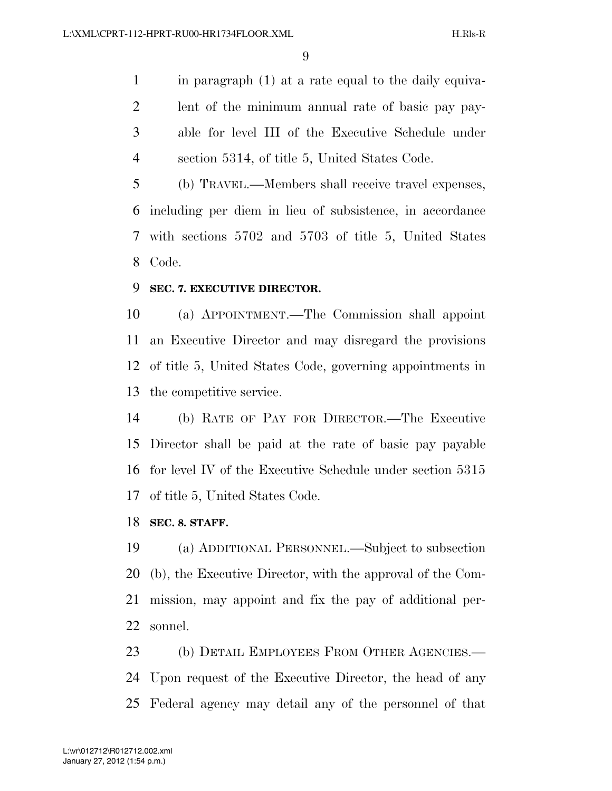in paragraph (1) at a rate equal to the daily equiva- lent of the minimum annual rate of basic pay pay- able for level III of the Executive Schedule under section 5314, of title 5, United States Code.

 (b) TRAVEL.—Members shall receive travel expenses, including per diem in lieu of subsistence, in accordance with sections 5702 and 5703 of title 5, United States Code.

#### **SEC. 7. EXECUTIVE DIRECTOR.**

 (a) APPOINTMENT.—The Commission shall appoint an Executive Director and may disregard the provisions of title 5, United States Code, governing appointments in the competitive service.

 (b) RATE OF PAY FOR DIRECTOR.—The Executive Director shall be paid at the rate of basic pay payable for level IV of the Executive Schedule under section 5315 of title 5, United States Code.

#### **SEC. 8. STAFF.**

 (a) ADDITIONAL PERSONNEL.—Subject to subsection (b), the Executive Director, with the approval of the Com- mission, may appoint and fix the pay of additional per-sonnel.

23 (b) DETAIL EMPLOYEES FROM OTHER AGENCIES.— Upon request of the Executive Director, the head of any Federal agency may detail any of the personnel of that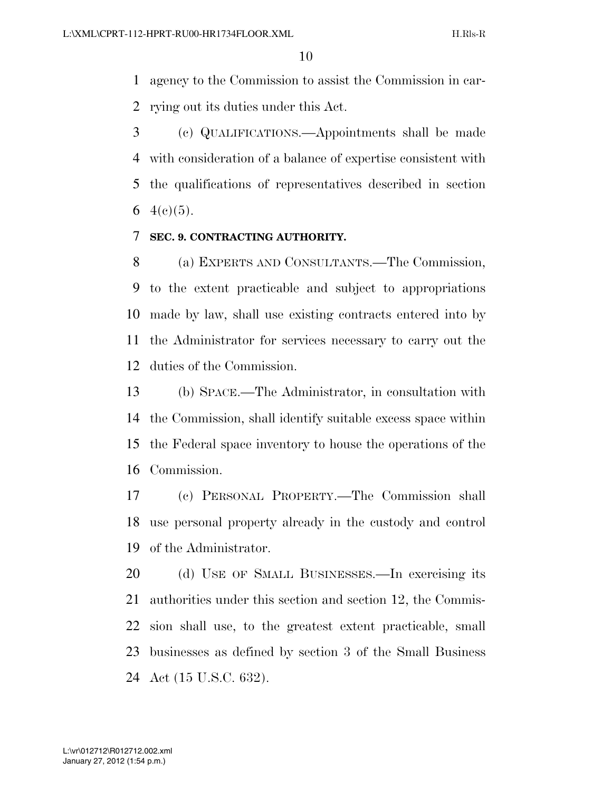agency to the Commission to assist the Commission in car-rying out its duties under this Act.

 (c) QUALIFICATIONS.—Appointments shall be made with consideration of a balance of expertise consistent with the qualifications of representatives described in section 6  $4(e)(5)$ .

#### **SEC. 9. CONTRACTING AUTHORITY.**

 (a) EXPERTS AND CONSULTANTS.—The Commission, to the extent practicable and subject to appropriations made by law, shall use existing contracts entered into by the Administrator for services necessary to carry out the duties of the Commission.

 (b) SPACE.—The Administrator, in consultation with the Commission, shall identify suitable excess space within the Federal space inventory to house the operations of the Commission.

 (c) PERSONAL PROPERTY.—The Commission shall use personal property already in the custody and control of the Administrator.

 (d) USE OF SMALL BUSINESSES.—In exercising its authorities under this section and section 12, the Commis- sion shall use, to the greatest extent practicable, small businesses as defined by section 3 of the Small Business Act (15 U.S.C. 632).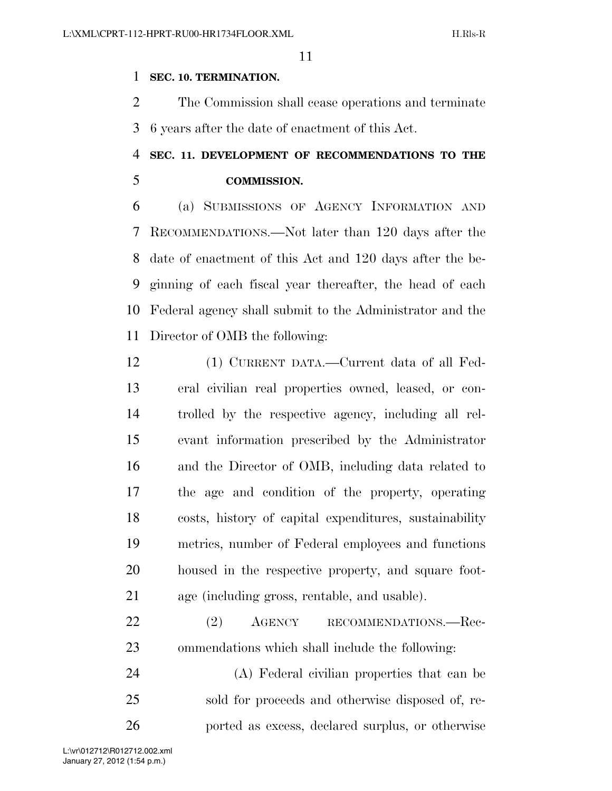#### **SEC. 10. TERMINATION.**

 The Commission shall cease operations and terminate 6 years after the date of enactment of this Act.

### **SEC. 11. DEVELOPMENT OF RECOMMENDATIONS TO THE COMMISSION.**

 (a) SUBMISSIONS OF AGENCY INFORMATION AND RECOMMENDATIONS.—Not later than 120 days after the date of enactment of this Act and 120 days after the be- ginning of each fiscal year thereafter, the head of each Federal agency shall submit to the Administrator and the Director of OMB the following:

 (1) CURRENT DATA.—Current data of all Fed- eral civilian real properties owned, leased, or con- trolled by the respective agency, including all rel- evant information prescribed by the Administrator and the Director of OMB, including data related to the age and condition of the property, operating costs, history of capital expenditures, sustainability metrics, number of Federal employees and functions housed in the respective property, and square foot-age (including gross, rentable, and usable).

22 (2) AGENCY RECOMMENDATIONS.—Rec-ommendations which shall include the following:

 (A) Federal civilian properties that can be sold for proceeds and otherwise disposed of, re-ported as excess, declared surplus, or otherwise

January 27, 2012 (1:54 p.m.) L:\vr\012712\R012712.002.xml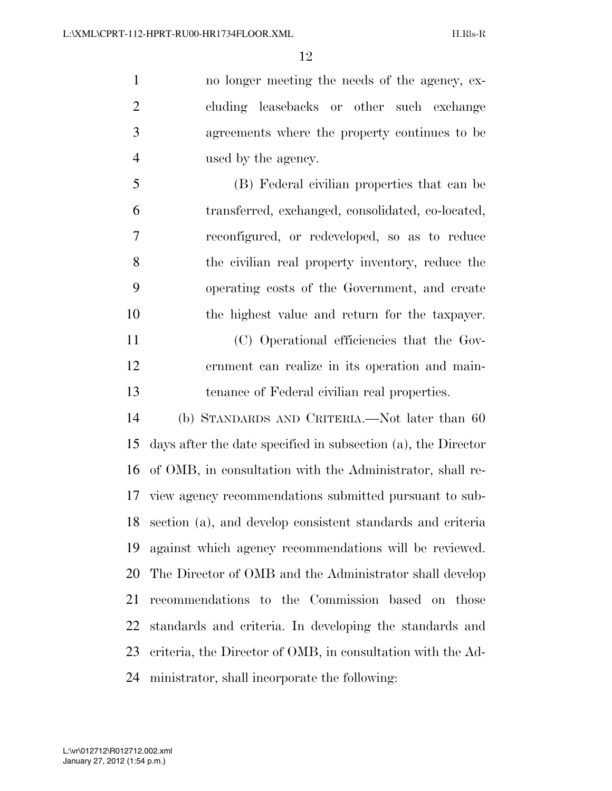no longer meeting the needs of the agency, ex- cluding leasebacks or other such exchange agreements where the property continues to be used by the agency.

 (B) Federal civilian properties that can be transferred, exchanged, consolidated, co-located, reconfigured, or redeveloped, so as to reduce the civilian real property inventory, reduce the operating costs of the Government, and create the highest value and return for the taxpayer.

 (C) Operational efficiencies that the Gov- ernment can realize in its operation and main-tenance of Federal civilian real properties.

 (b) STANDARDS AND CRITERIA.—Not later than 60 days after the date specified in subsection (a), the Director of OMB, in consultation with the Administrator, shall re- view agency recommendations submitted pursuant to sub- section (a), and develop consistent standards and criteria against which agency recommendations will be reviewed. The Director of OMB and the Administrator shall develop recommendations to the Commission based on those standards and criteria. In developing the standards and criteria, the Director of OMB, in consultation with the Ad-ministrator, shall incorporate the following: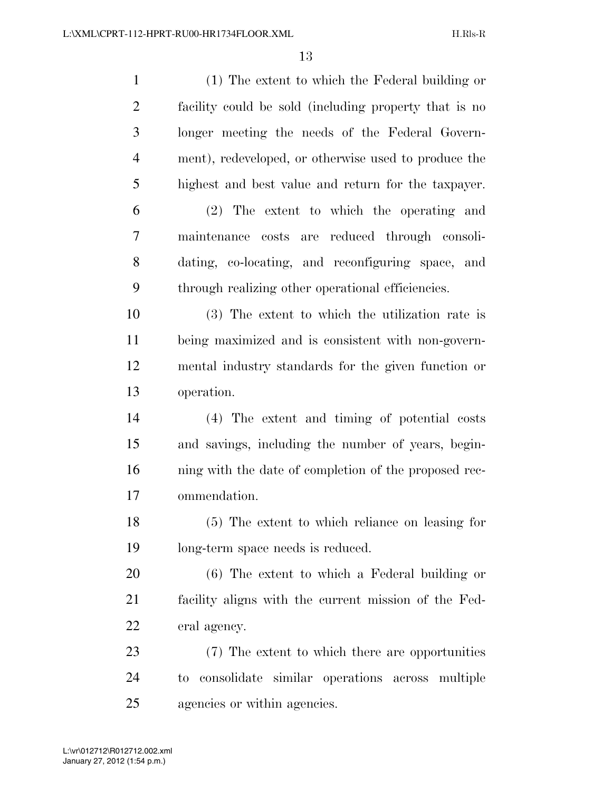(1) The extent to which the Federal building or facility could be sold (including property that is no longer meeting the needs of the Federal Govern- ment), redeveloped, or otherwise used to produce the highest and best value and return for the taxpayer. (2) The extent to which the operating and maintenance costs are reduced through consoli- dating, co-locating, and reconfiguring space, and through realizing other operational efficiencies. (3) The extent to which the utilization rate is being maximized and is consistent with non-govern- mental industry standards for the given function or operation. (4) The extent and timing of potential costs and savings, including the number of years, begin- ning with the date of completion of the proposed rec- ommendation. (5) The extent to which reliance on leasing for long-term space needs is reduced. (6) The extent to which a Federal building or facility aligns with the current mission of the Fed- eral agency. (7) The extent to which there are opportunities to consolidate similar operations across multiple agencies or within agencies.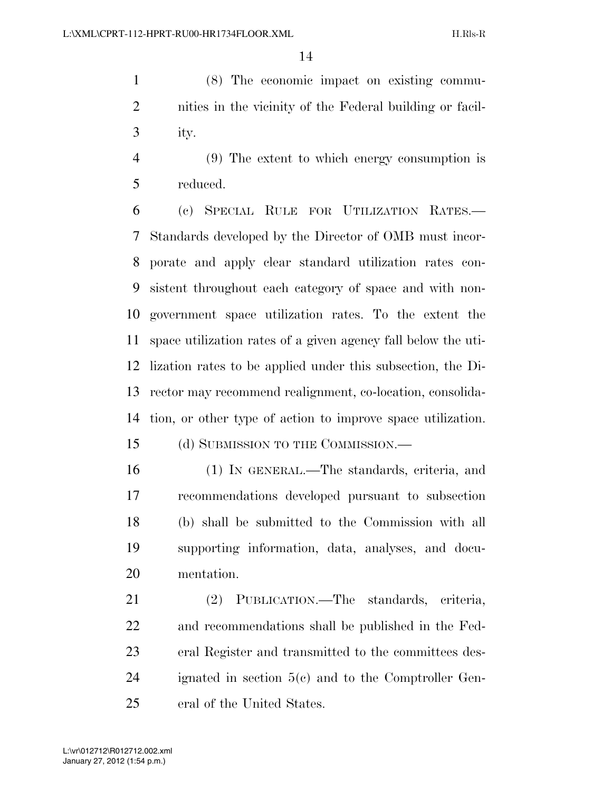(8) The economic impact on existing commu- nities in the vicinity of the Federal building or facil-ity.

 (9) The extent to which energy consumption is reduced.

 (c) SPECIAL RULE FOR UTILIZATION RATES.— Standards developed by the Director of OMB must incor- porate and apply clear standard utilization rates con- sistent throughout each category of space and with non- government space utilization rates. To the extent the space utilization rates of a given agency fall below the uti- lization rates to be applied under this subsection, the Di- rector may recommend realignment, co-location, consolida-tion, or other type of action to improve space utilization.

15 (d) SUBMISSION TO THE COMMISSION.—

 (1) IN GENERAL.—The standards, criteria, and recommendations developed pursuant to subsection (b) shall be submitted to the Commission with all supporting information, data, analyses, and docu-mentation.

 (2) PUBLICATION.—The standards, criteria, and recommendations shall be published in the Fed- eral Register and transmitted to the committees des- ignated in section 5(c) and to the Comptroller Gen-eral of the United States.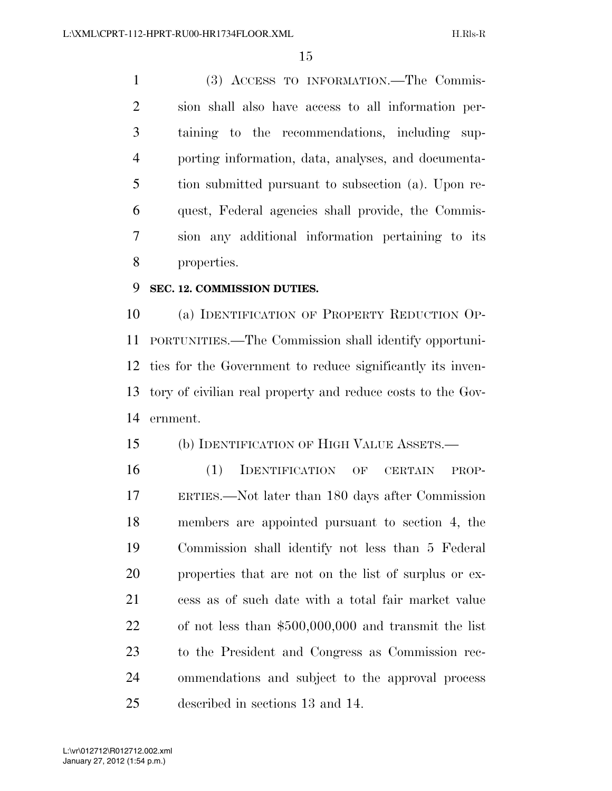(3) ACCESS TO INFORMATION.—The Commis- sion shall also have access to all information per- taining to the recommendations, including sup- porting information, data, analyses, and documenta- tion submitted pursuant to subsection (a). Upon re- quest, Federal agencies shall provide, the Commis- sion any additional information pertaining to its properties.

#### **SEC. 12. COMMISSION DUTIES.**

 (a) IDENTIFICATION OF PROPERTY REDUCTION OP- PORTUNITIES.—The Commission shall identify opportuni- ties for the Government to reduce significantly its inven- tory of civilian real property and reduce costs to the Gov-ernment.

(b) IDENTIFICATION OF HIGH VALUE ASSETS.—

 (1) IDENTIFICATION OF CERTAIN PROP- ERTIES.—Not later than 180 days after Commission members are appointed pursuant to section 4, the Commission shall identify not less than 5 Federal properties that are not on the list of surplus or ex- cess as of such date with a total fair market value of not less than \$500,000,000 and transmit the list to the President and Congress as Commission rec- ommendations and subject to the approval process described in sections 13 and 14.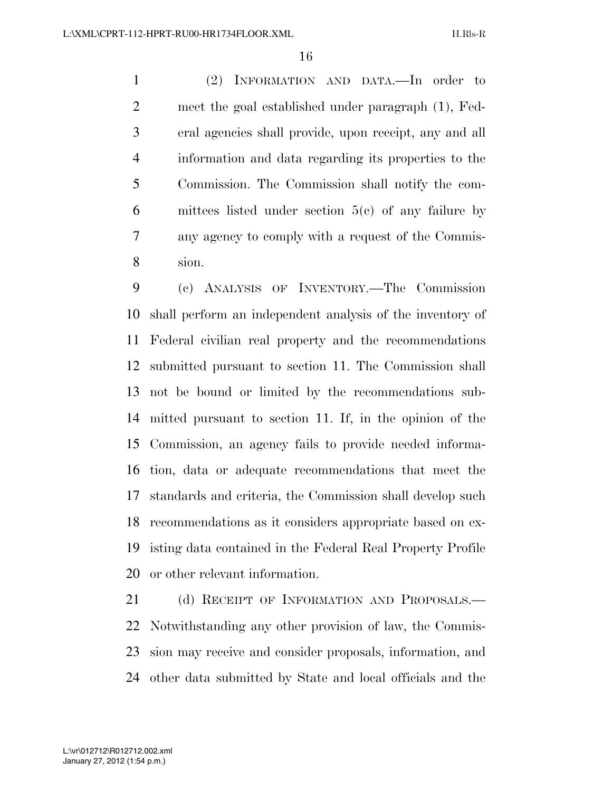(2) INFORMATION AND DATA.—In order to meet the goal established under paragraph (1), Fed- eral agencies shall provide, upon receipt, any and all information and data regarding its properties to the Commission. The Commission shall notify the com- mittees listed under section 5(c) of any failure by any agency to comply with a request of the Commis-sion.

 (c) ANALYSIS OF INVENTORY.—The Commission shall perform an independent analysis of the inventory of Federal civilian real property and the recommendations submitted pursuant to section 11. The Commission shall not be bound or limited by the recommendations sub- mitted pursuant to section 11. If, in the opinion of the Commission, an agency fails to provide needed informa- tion, data or adequate recommendations that meet the standards and criteria, the Commission shall develop such recommendations as it considers appropriate based on ex- isting data contained in the Federal Real Property Profile or other relevant information.

21 (d) RECEIPT OF INFORMATION AND PROPOSALS. Notwithstanding any other provision of law, the Commis- sion may receive and consider proposals, information, and other data submitted by State and local officials and the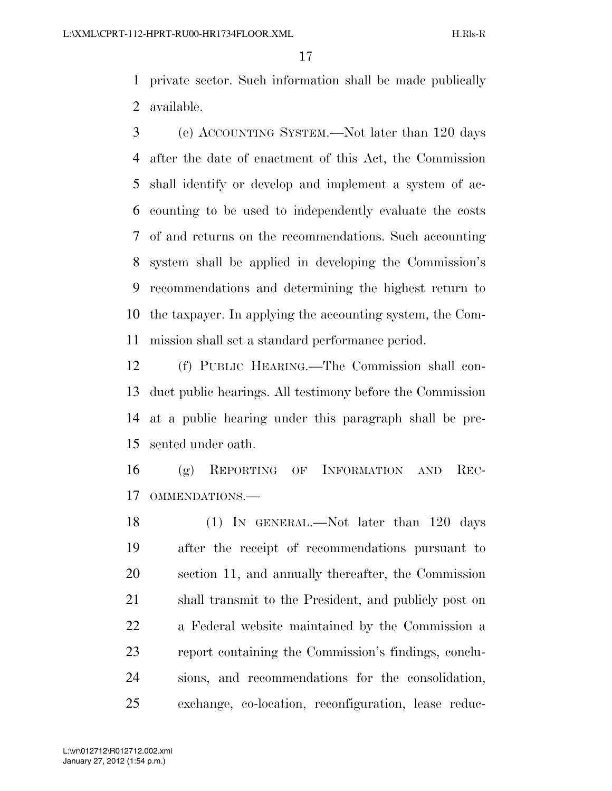private sector. Such information shall be made publically available.

 (e) ACCOUNTING SYSTEM.—Not later than 120 days after the date of enactment of this Act, the Commission shall identify or develop and implement a system of ac- counting to be used to independently evaluate the costs of and returns on the recommendations. Such accounting system shall be applied in developing the Commission's recommendations and determining the highest return to the taxpayer. In applying the accounting system, the Com-mission shall set a standard performance period.

 (f) PUBLIC HEARING.—The Commission shall con- duct public hearings. All testimony before the Commission at a public hearing under this paragraph shall be pre-sented under oath.

 (g) REPORTING OF INFORMATION AND REC-OMMENDATIONS.—

18 (1) IN GENERAL.—Not later than 120 days after the receipt of recommendations pursuant to section 11, and annually thereafter, the Commission shall transmit to the President, and publicly post on a Federal website maintained by the Commission a report containing the Commission's findings, conclu- sions, and recommendations for the consolidation, exchange, co-location, reconfiguration, lease reduc-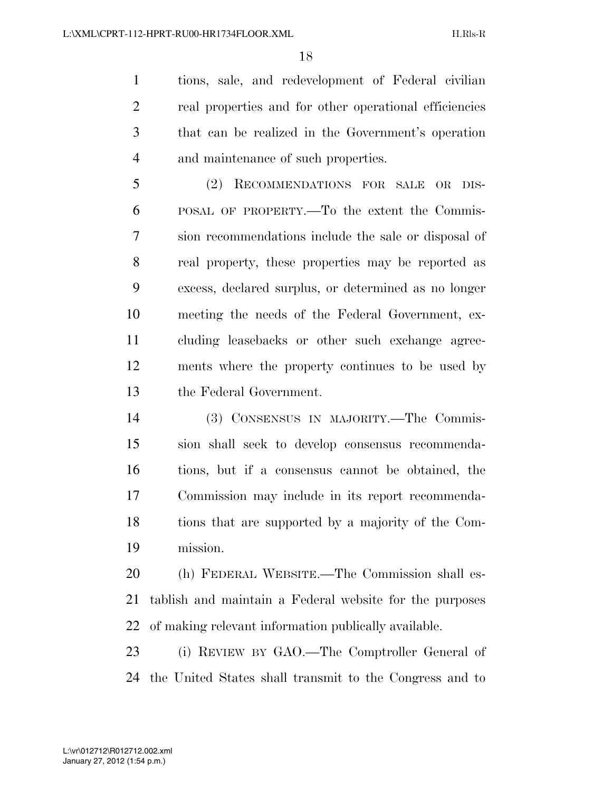tions, sale, and redevelopment of Federal civilian real properties and for other operational efficiencies that can be realized in the Government's operation and maintenance of such properties.

 (2) RECOMMENDATIONS FOR SALE OR DIS- POSAL OF PROPERTY.—To the extent the Commis- sion recommendations include the sale or disposal of real property, these properties may be reported as excess, declared surplus, or determined as no longer meeting the needs of the Federal Government, ex- cluding leasebacks or other such exchange agree- ments where the property continues to be used by the Federal Government.

 (3) CONSENSUS IN MAJORITY.—The Commis- sion shall seek to develop consensus recommenda- tions, but if a consensus cannot be obtained, the Commission may include in its report recommenda- tions that are supported by a majority of the Com-mission.

 (h) FEDERAL WEBSITE.—The Commission shall es- tablish and maintain a Federal website for the purposes of making relevant information publically available.

 (i) REVIEW BY GAO.—The Comptroller General of the United States shall transmit to the Congress and to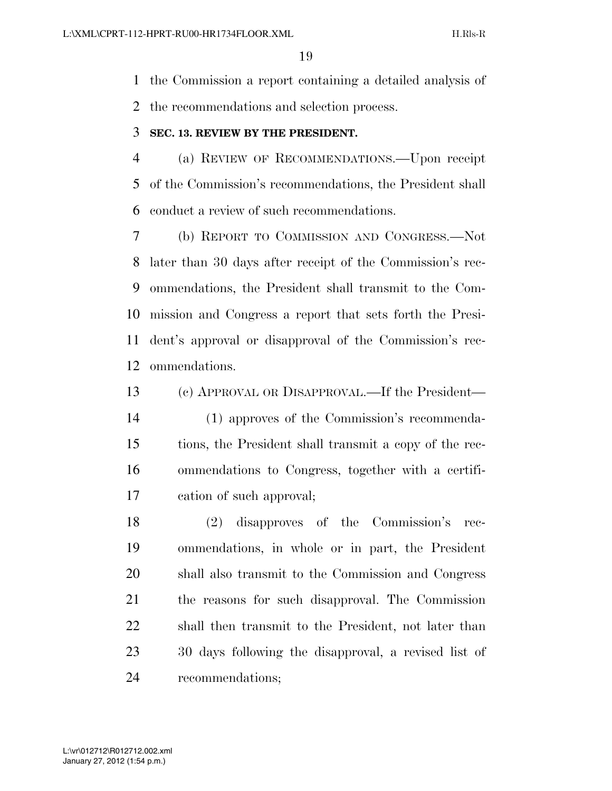the Commission a report containing a detailed analysis of the recommendations and selection process.

#### **SEC. 13. REVIEW BY THE PRESIDENT.**

 (a) REVIEW OF RECOMMENDATIONS.—Upon receipt of the Commission's recommendations, the President shall conduct a review of such recommendations.

 (b) REPORT TO COMMISSION AND CONGRESS.—Not later than 30 days after receipt of the Commission's rec- ommendations, the President shall transmit to the Com- mission and Congress a report that sets forth the Presi- dent's approval or disapproval of the Commission's rec-ommendations.

 (c) APPROVAL OR DISAPPROVAL.—If the President— (1) approves of the Commission's recommenda- tions, the President shall transmit a copy of the rec- ommendations to Congress, together with a certifi-cation of such approval;

 (2) disapproves of the Commission's rec- ommendations, in whole or in part, the President shall also transmit to the Commission and Congress the reasons for such disapproval. The Commission shall then transmit to the President, not later than 30 days following the disapproval, a revised list of recommendations;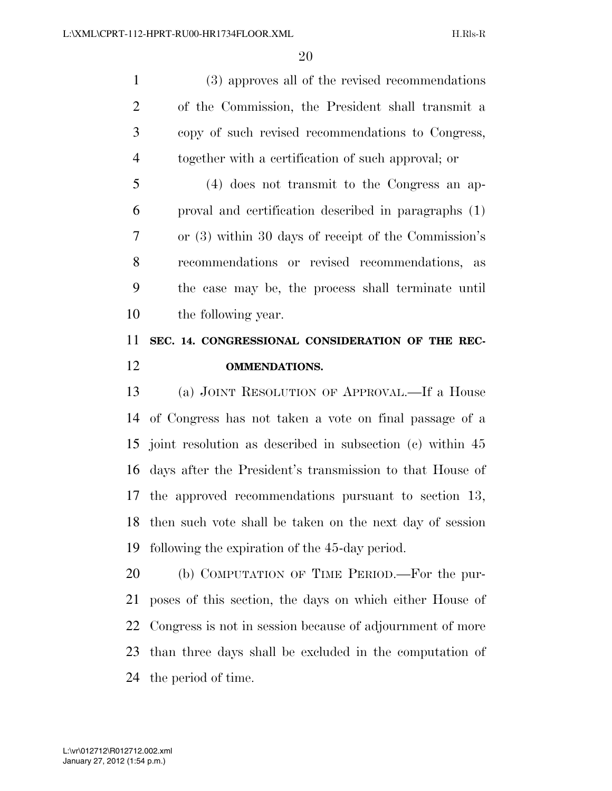(3) approves all of the revised recommendations of the Commission, the President shall transmit a copy of such revised recommendations to Congress, together with a certification of such approval; or

 (4) does not transmit to the Congress an ap- proval and certification described in paragraphs (1) or (3) within 30 days of receipt of the Commission's recommendations or revised recommendations, as the case may be, the process shall terminate until the following year.

### **SEC. 14. CONGRESSIONAL CONSIDERATION OF THE REC-OMMENDATIONS.**

 (a) JOINT RESOLUTION OF APPROVAL.—If a House of Congress has not taken a vote on final passage of a joint resolution as described in subsection (c) within 45 days after the President's transmission to that House of the approved recommendations pursuant to section 13, then such vote shall be taken on the next day of session following the expiration of the 45-day period.

 (b) COMPUTATION OF TIME PERIOD.—For the pur- poses of this section, the days on which either House of Congress is not in session because of adjournment of more than three days shall be excluded in the computation of the period of time.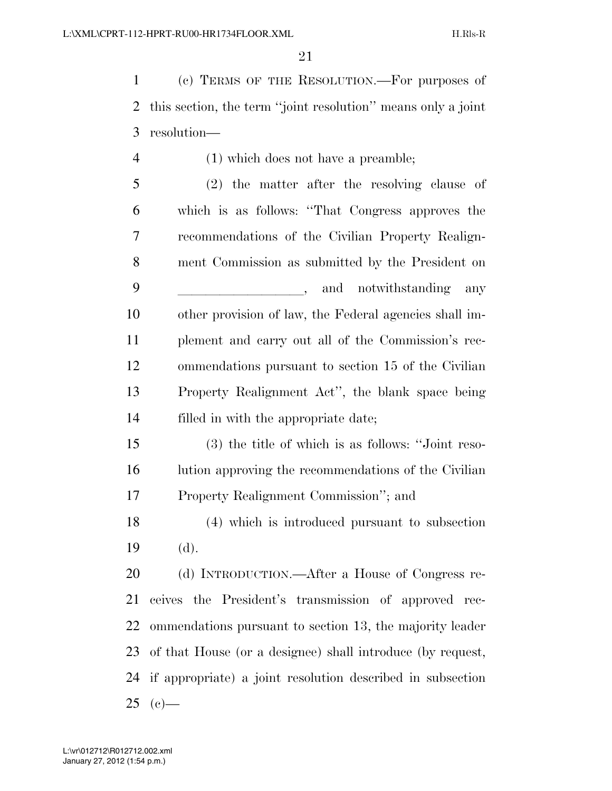(c) TERMS OF THE RESOLUTION.—For purposes of this section, the term ''joint resolution'' means only a joint resolution—

 (1) which does not have a preamble; (2) the matter after the resolving clause of which is as follows: ''That Congress approves the recommendations of the Civilian Property Realign- ment Commission as submitted by the President on 9 and notwithstanding any other provision of law, the Federal agencies shall im- plement and carry out all of the Commission's rec- ommendations pursuant to section 15 of the Civilian Property Realignment Act'', the blank space being filled in with the appropriate date; (3) the title of which is as follows: ''Joint reso-16 lution approving the recommendations of the Civilian Property Realignment Commission''; and (4) which is introduced pursuant to subsection (d). (d) INTRODUCTION.—After a House of Congress re- ceives the President's transmission of approved rec- ommendations pursuant to section 13, the majority leader of that House (or a designee) shall introduce (by request,

 if appropriate) a joint resolution described in subsection (c) —

January 27, 2012 (1:54 p.m.) L:\vr\012712\R012712.002.xml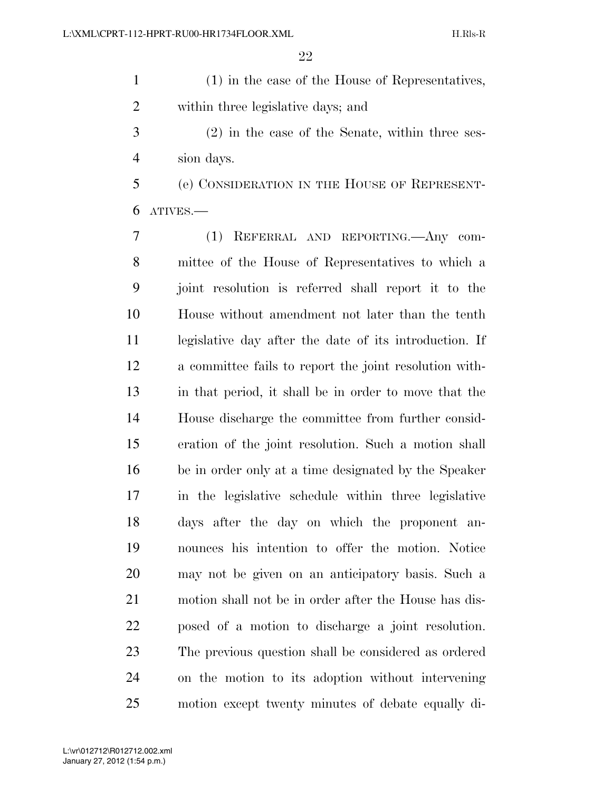(1) in the case of the House of Representatives, within three legislative days; and

 (2) in the case of the Senate, within three ses-sion days.

 (e) CONSIDERATION IN THE HOUSE OF REPRESENT-ATIVES.—

 (1) REFERRAL AND REPORTING.—Any com- mittee of the House of Representatives to which a joint resolution is referred shall report it to the House without amendment not later than the tenth legislative day after the date of its introduction. If a committee fails to report the joint resolution with- in that period, it shall be in order to move that the House discharge the committee from further consid- eration of the joint resolution. Such a motion shall be in order only at a time designated by the Speaker in the legislative schedule within three legislative days after the day on which the proponent an- nounces his intention to offer the motion. Notice may not be given on an anticipatory basis. Such a motion shall not be in order after the House has dis- posed of a motion to discharge a joint resolution. The previous question shall be considered as ordered on the motion to its adoption without intervening motion except twenty minutes of debate equally di-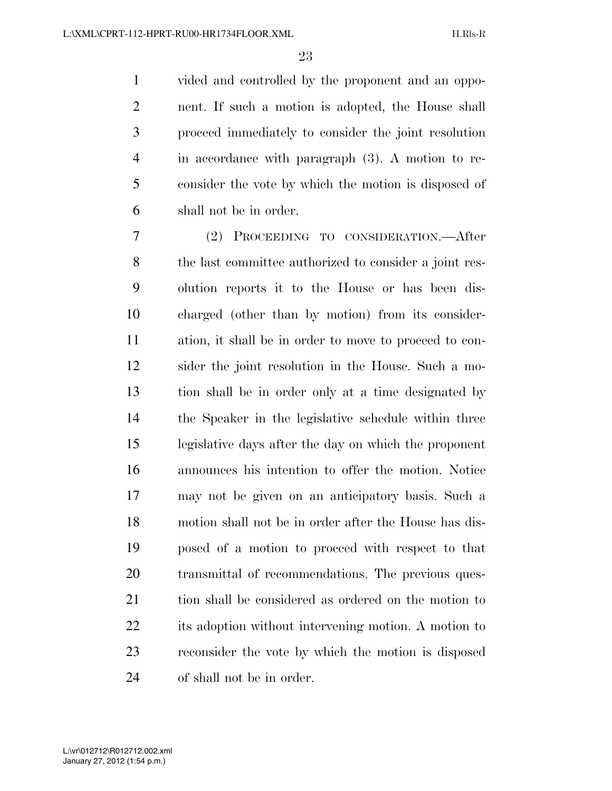vided and controlled by the proponent and an oppo- nent. If such a motion is adopted, the House shall proceed immediately to consider the joint resolution in accordance with paragraph (3). A motion to re- consider the vote by which the motion is disposed of shall not be in order.

 (2) PROCEEDING TO CONSIDERATION.—After the last committee authorized to consider a joint res- olution reports it to the House or has been dis- charged (other than by motion) from its consider- ation, it shall be in order to move to proceed to con- sider the joint resolution in the House. Such a mo- tion shall be in order only at a time designated by the Speaker in the legislative schedule within three legislative days after the day on which the proponent announces his intention to offer the motion. Notice may not be given on an anticipatory basis. Such a motion shall not be in order after the House has dis- posed of a motion to proceed with respect to that transmittal of recommendations. The previous ques- tion shall be considered as ordered on the motion to its adoption without intervening motion. A motion to reconsider the vote by which the motion is disposed of shall not be in order.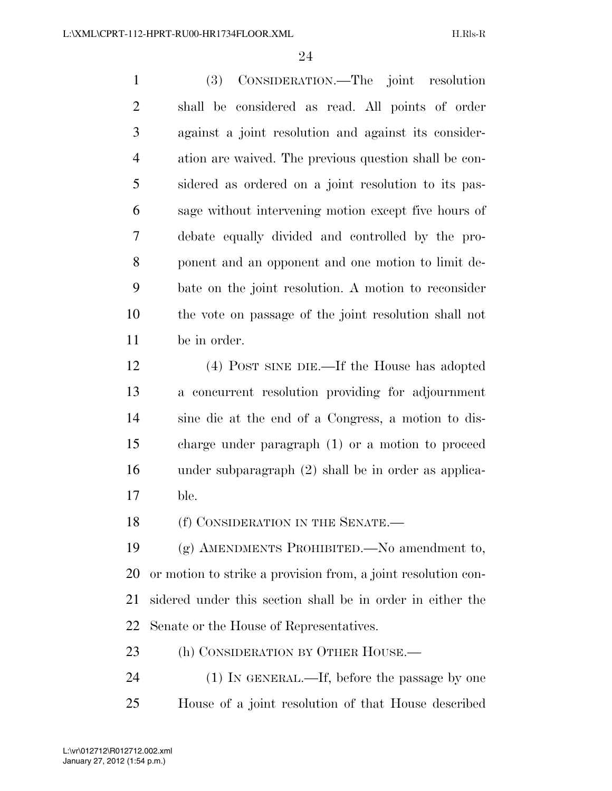(3) CONSIDERATION.—The joint resolution shall be considered as read. All points of order against a joint resolution and against its consider- ation are waived. The previous question shall be con- sidered as ordered on a joint resolution to its pas- sage without intervening motion except five hours of debate equally divided and controlled by the pro- ponent and an opponent and one motion to limit de- bate on the joint resolution. A motion to reconsider the vote on passage of the joint resolution shall not be in order.

 (4) POST SINE DIE.—If the House has adopted a concurrent resolution providing for adjournment sine die at the end of a Congress, a motion to dis- charge under paragraph (1) or a motion to proceed under subparagraph (2) shall be in order as applica-ble.

18 (f) CONSIDERATION IN THE SENATE.

 (g) AMENDMENTS PROHIBITED.—No amendment to, or motion to strike a provision from, a joint resolution con- sidered under this section shall be in order in either the Senate or the House of Representatives.

23 (h) CONSIDERATION BY OTHER HOUSE.—

24 (1) IN GENERAL.—If, before the passage by one House of a joint resolution of that House described

January 27, 2012 (1:54 p.m.) L:\vr\012712\R012712.002.xml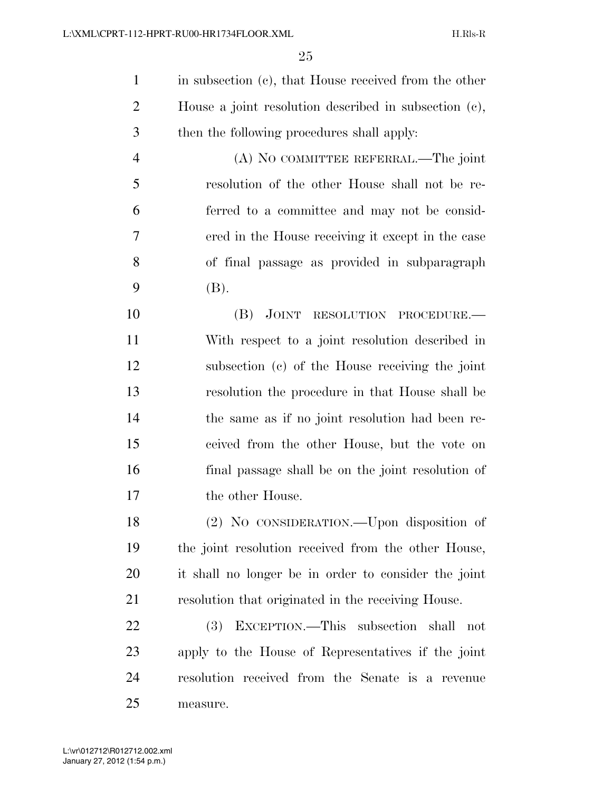in subsection (c), that House received from the other House a joint resolution described in subsection (c), then the following procedures shall apply:

 (A) NO COMMITTEE REFERRAL.—The joint resolution of the other House shall not be re- ferred to a committee and may not be consid- ered in the House receiving it except in the case of final passage as provided in subparagraph 9  $(B)$ .

10 (B) JOINT RESOLUTION PROCEDURE. With respect to a joint resolution described in subsection (c) of the House receiving the joint resolution the procedure in that House shall be the same as if no joint resolution had been re- ceived from the other House, but the vote on final passage shall be on the joint resolution of 17 the other House.

 (2) NO CONSIDERATION.—Upon disposition of the joint resolution received from the other House, it shall no longer be in order to consider the joint resolution that originated in the receiving House.

 (3) EXCEPTION.—This subsection shall not apply to the House of Representatives if the joint resolution received from the Senate is a revenue measure.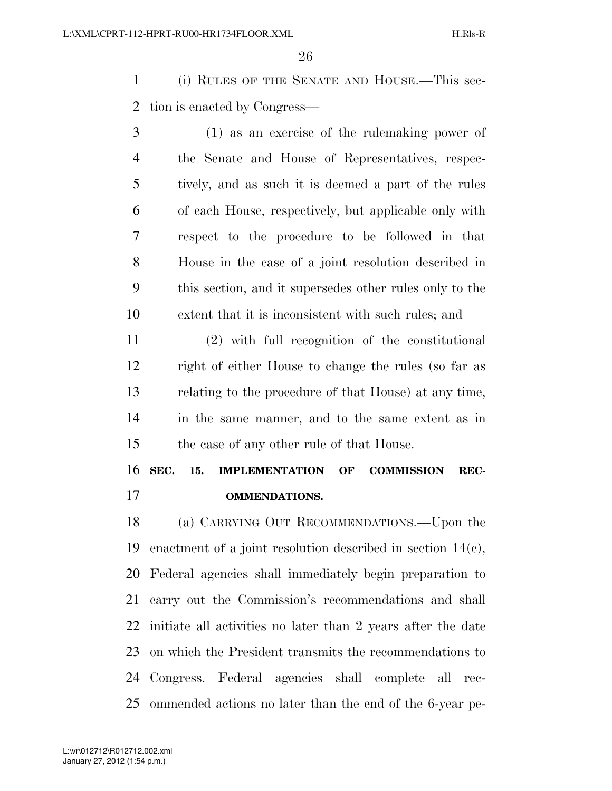(i) RULES OF THE SENATE AND HOUSE.—This sec-tion is enacted by Congress—

 (1) as an exercise of the rulemaking power of the Senate and House of Representatives, respec- tively, and as such it is deemed a part of the rules of each House, respectively, but applicable only with respect to the procedure to be followed in that House in the case of a joint resolution described in this section, and it supersedes other rules only to the extent that it is inconsistent with such rules; and

 (2) with full recognition of the constitutional right of either House to change the rules (so far as relating to the procedure of that House) at any time, in the same manner, and to the same extent as in the case of any other rule of that House.

 **SEC. 15. IMPLEMENTATION OF COMMISSION REC-OMMENDATIONS.** 

 (a) CARRYING OUT RECOMMENDATIONS.—Upon the enactment of a joint resolution described in section 14(c), Federal agencies shall immediately begin preparation to carry out the Commission's recommendations and shall initiate all activities no later than 2 years after the date on which the President transmits the recommendations to Congress. Federal agencies shall complete all rec-ommended actions no later than the end of the 6-year pe-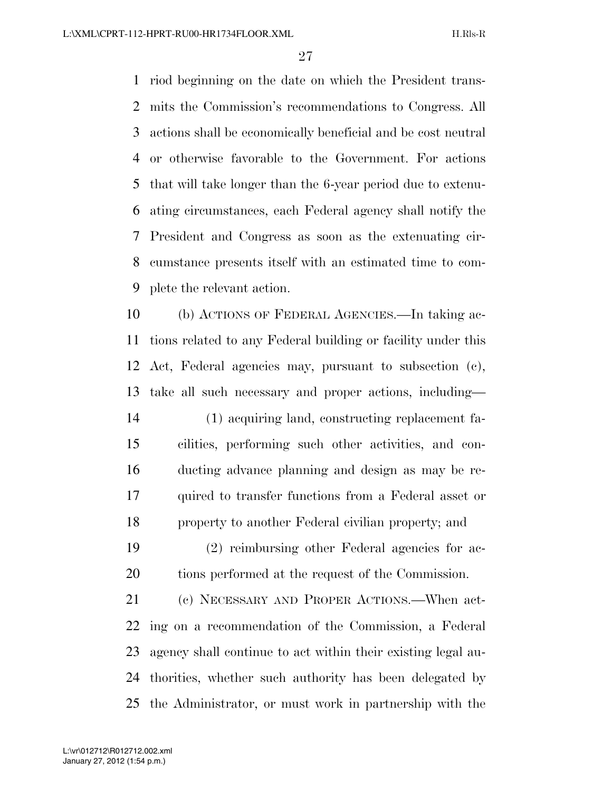riod beginning on the date on which the President trans- mits the Commission's recommendations to Congress. All actions shall be economically beneficial and be cost neutral or otherwise favorable to the Government. For actions that will take longer than the 6-year period due to extenu- ating circumstances, each Federal agency shall notify the President and Congress as soon as the extenuating cir- cumstance presents itself with an estimated time to com-plete the relevant action.

 (b) ACTIONS OF FEDERAL AGENCIES.—In taking ac- tions related to any Federal building or facility under this Act, Federal agencies may, pursuant to subsection (c), take all such necessary and proper actions, including—

 (1) acquiring land, constructing replacement fa- cilities, performing such other activities, and con- ducting advance planning and design as may be re- quired to transfer functions from a Federal asset or property to another Federal civilian property; and

 (2) reimbursing other Federal agencies for ac-tions performed at the request of the Commission.

 (c) NECESSARY AND PROPER ACTIONS.—When act- ing on a recommendation of the Commission, a Federal agency shall continue to act within their existing legal au- thorities, whether such authority has been delegated by the Administrator, or must work in partnership with the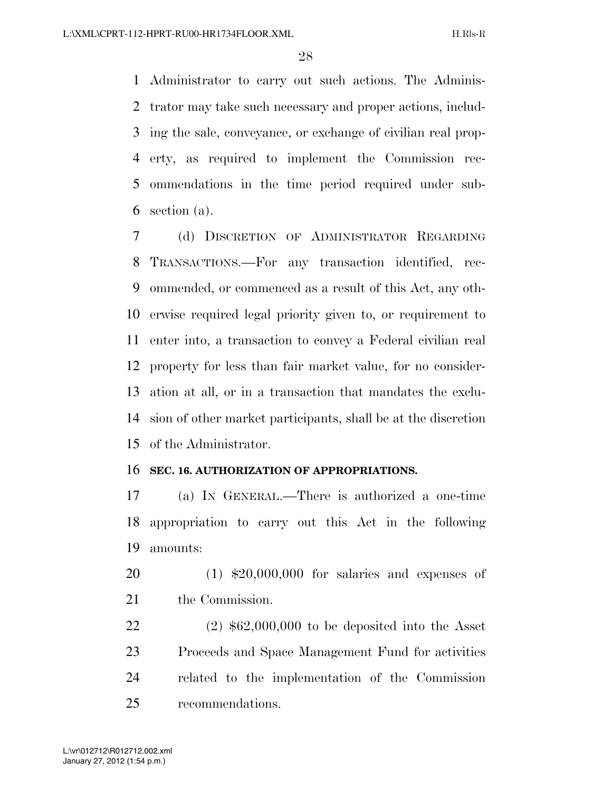Administrator to carry out such actions. The Adminis- trator may take such necessary and proper actions, includ- ing the sale, conveyance, or exchange of civilian real prop- erty, as required to implement the Commission rec- ommendations in the time period required under sub-section (a).

 (d) DISCRETION OF ADMINISTRATOR REGARDING TRANSACTIONS.—For any transaction identified, rec- ommended, or commenced as a result of this Act, any oth- erwise required legal priority given to, or requirement to enter into, a transaction to convey a Federal civilian real property for less than fair market value, for no consider- ation at all, or in a transaction that mandates the exclu- sion of other market participants, shall be at the discretion of the Administrator.

#### **SEC. 16. AUTHORIZATION OF APPROPRIATIONS.**

 (a) IN GENERAL.—There is authorized a one-time appropriation to carry out this Act in the following amounts:

 (1) \$20,000,000 for salaries and expenses of 21 the Commission.

 (2) \$62,000,000 to be deposited into the Asset Proceeds and Space Management Fund for activities related to the implementation of the Commission recommendations.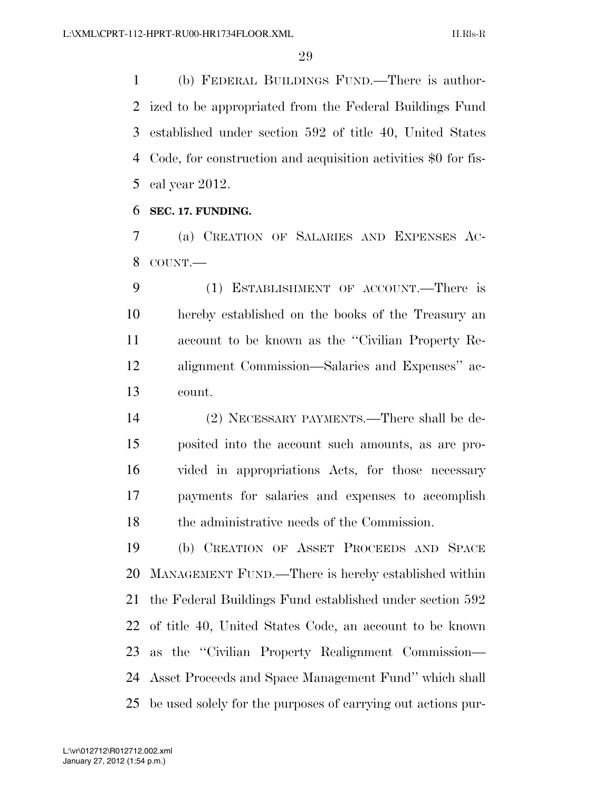(b) FEDERAL BUILDINGS FUND.—There is author- ized to be appropriated from the Federal Buildings Fund established under section 592 of title 40, United States Code, for construction and acquisition activities \$0 for fis-cal year 2012.

#### **SEC. 17. FUNDING.**

 (a) CREATION OF SALARIES AND EXPENSES AC-COUNT.—

 (1) ESTABLISHMENT OF ACCOUNT.—There is hereby established on the books of the Treasury an account to be known as the ''Civilian Property Re- alignment Commission—Salaries and Expenses'' ac-count.

 (2) NECESSARY PAYMENTS.—There shall be de- posited into the account such amounts, as are pro- vided in appropriations Acts, for those necessary payments for salaries and expenses to accomplish the administrative needs of the Commission.

 (b) CREATION OF ASSET PROCEEDS AND SPACE MANAGEMENT FUND.—There is hereby established within the Federal Buildings Fund established under section 592 of title 40, United States Code, an account to be known as the ''Civilian Property Realignment Commission— Asset Proceeds and Space Management Fund'' which shall be used solely for the purposes of carrying out actions pur-

January 27, 2012 (1:54 p.m.) L:\vr\012712\R012712.002.xml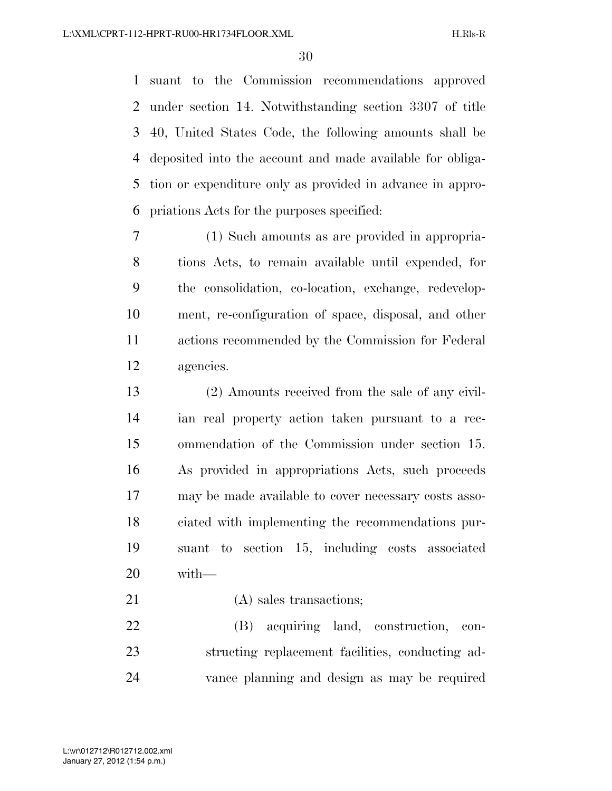suant to the Commission recommendations approved under section 14. Notwithstanding section 3307 of title 40, United States Code, the following amounts shall be deposited into the account and made available for obliga- tion or expenditure only as provided in advance in appro-priations Acts for the purposes specified:

 (1) Such amounts as are provided in appropria- tions Acts, to remain available until expended, for the consolidation, co-location, exchange, redevelop- ment, re-configuration of space, disposal, and other actions recommended by the Commission for Federal agencies.

 (2) Amounts received from the sale of any civil- ian real property action taken pursuant to a rec- ommendation of the Commission under section 15. As provided in appropriations Acts, such proceeds may be made available to cover necessary costs asso- ciated with implementing the recommendations pur- suant to section 15, including costs associated with—

21 (A) sales transactions;

 (B) acquiring land, construction, con- structing replacement facilities, conducting ad-vance planning and design as may be required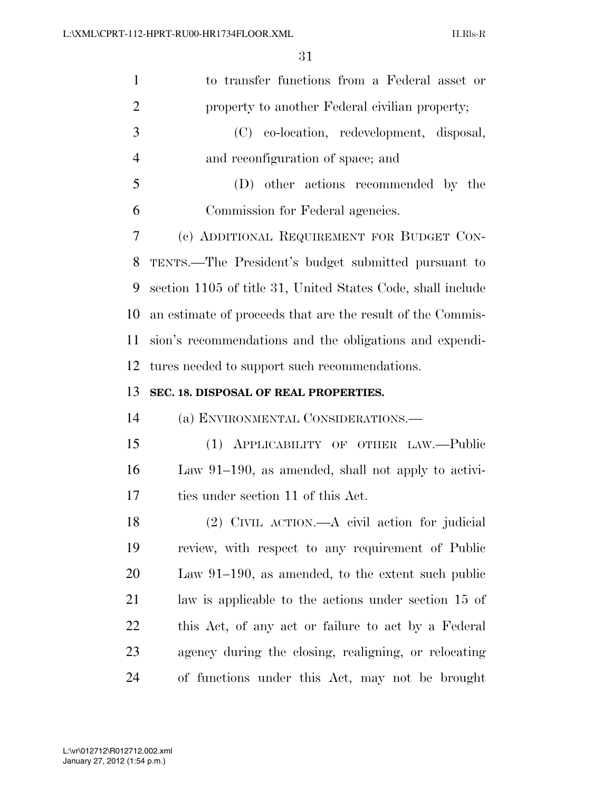| $\mathbf{1}$   | to transfer functions from a Federal asset or               |
|----------------|-------------------------------------------------------------|
| $\overline{2}$ | property to another Federal civilian property;              |
| 3              | (C) co-location, redevelopment, disposal,                   |
| $\overline{4}$ | and reconfiguration of space; and                           |
| 5              | (D) other actions recommended by the                        |
| 6              | Commission for Federal agencies.                            |
| 7              | (c) ADDITIONAL REQUIREMENT FOR BUDGET CON-                  |
| 8              | TENTS.—The President's budget submitted pursuant to         |
| 9              | section 1105 of title 31, United States Code, shall include |
| 10             | an estimate of proceeds that are the result of the Commis-  |
| 11             | sion's recommendations and the obligations and expendi-     |
| 12             | tures needed to support such recommendations.               |
|                |                                                             |
| 13             | SEC. 18. DISPOSAL OF REAL PROPERTIES.                       |
| 14             | (a) ENVIRONMENTAL CONSIDERATIONS.—                          |
| 15             | (1) APPLICABILITY OF OTHER LAW.-Public                      |
| 16             | Law 91-190, as amended, shall not apply to activi-          |
| 17             | ties under section 11 of this Act.                          |
| 18             | (2) CIVIL ACTION.—A civil action for judicial               |
| 19             | review, with respect to any requirement of Public           |
| 20             | Law $91-190$ , as amended, to the extent such public        |
| 21             | law is applicable to the actions under section 15 of        |
| 22             | this Act, of any act or failure to act by a Federal         |
| 23             | agency during the closing, realigning, or relocating        |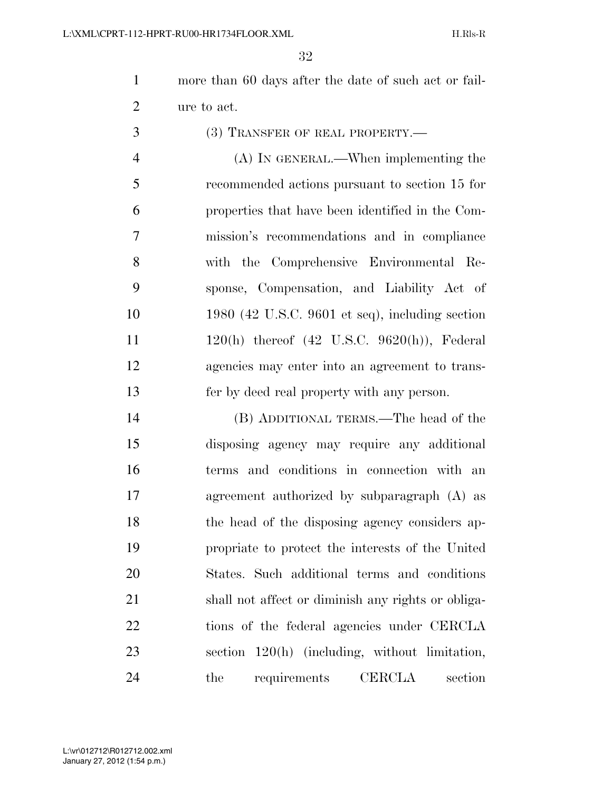more than 60 days after the date of such act or fail-ure to act.

3 (3) TRANSFER OF REAL PROPERTY.—

 (A) IN GENERAL.—When implementing the recommended actions pursuant to section 15 for properties that have been identified in the Com- mission's recommendations and in compliance with the Comprehensive Environmental Re- sponse, Compensation, and Liability Act of 1980 (42 U.S.C. 9601 et seq), including section 120(h) thereof (42 U.S.C. 9620(h)), Federal agencies may enter into an agreement to trans-fer by deed real property with any person.

 (B) ADDITIONAL TERMS.—The head of the disposing agency may require any additional terms and conditions in connection with an agreement authorized by subparagraph (A) as the head of the disposing agency considers ap- propriate to protect the interests of the United States. Such additional terms and conditions shall not affect or diminish any rights or obliga- tions of the federal agencies under CERCLA section 120(h) (including, without limitation, the requirements CERCLA section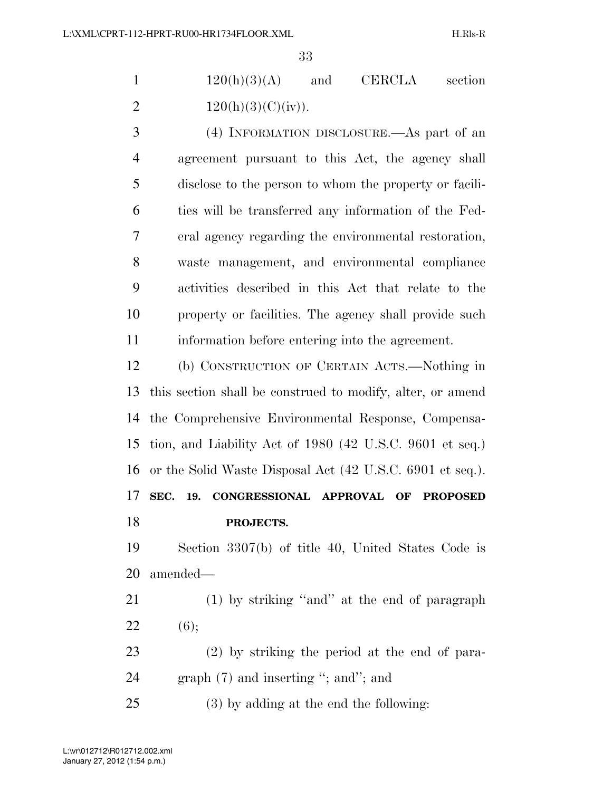$120(h)(3)(A)$  and CERCLA section 2  $120(h)(3)(C)(iv)$ .

 (4) INFORMATION DISCLOSURE.—As part of an agreement pursuant to this Act, the agency shall disclose to the person to whom the property or facili- ties will be transferred any information of the Fed- eral agency regarding the environmental restoration, waste management, and environmental compliance activities described in this Act that relate to the property or facilities. The agency shall provide such information before entering into the agreement.

 (b) CONSTRUCTION OF CERTAIN ACTS.—Nothing in this section shall be construed to modify, alter, or amend the Comprehensive Environmental Response, Compensa- tion, and Liability Act of 1980 (42 U.S.C. 9601 et seq.) or the Solid Waste Disposal Act (42 U.S.C. 6901 et seq.). **SEC. 19. CONGRESSIONAL APPROVAL OF PROPOSED PROJECTS.** 

 Section 3307(b) of title 40, United States Code is amended—

 (1) by striking ''and'' at the end of paragraph 22  $(6);$ 

 (2) by striking the period at the end of para-24 graph (7) and inserting "; and"; and

(3) by adding at the end the following: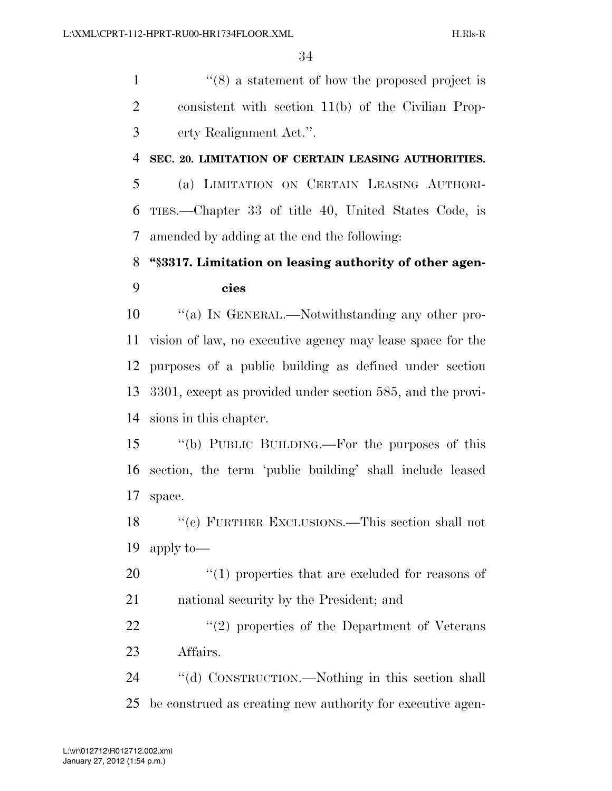1 ''(8) a statement of how the proposed project is consistent with section 11(b) of the Civilian Prop-erty Realignment Act.''.

#### **SEC. 20. LIMITATION OF CERTAIN LEASING AUTHORITIES.**

 (a) LIMITATION ON CERTAIN LEASING AUTHORI- TIES.—Chapter 33 of title 40, United States Code, is amended by adding at the end the following:

## **''§3317. Limitation on leasing authority of other agen-cies**

 ''(a) IN GENERAL.—Notwithstanding any other pro- vision of law, no executive agency may lease space for the purposes of a public building as defined under section 3301, except as provided under section 585, and the provi-sions in this chapter.

 ''(b) PUBLIC BUILDING.—For the purposes of this section, the term 'public building' shall include leased space.

 ''(c) FURTHER EXCLUSIONS.—This section shall not apply to—

20  $\frac{1}{20}$  (1) properties that are excluded for reasons of national security by the President; and

 $\frac{1}{22}$  ''(2) properties of the Department of Veterans Affairs.

 ''(d) CONSTRUCTION.—Nothing in this section shall be construed as creating new authority for executive agen-